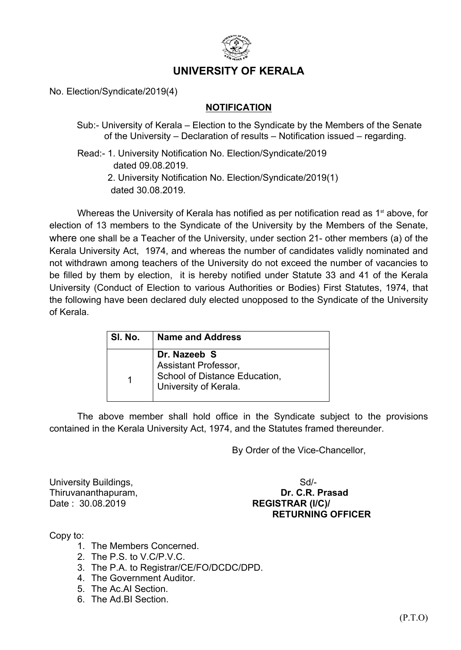

## **UNIVERSITY OF KERALA**

No. Election/Syndicate/2019(4)

## **NOTIFICATION**

- Sub:- University of Kerala Election to the Syndicate by the Members of the Senate of the University – Declaration of results – Notification issued – regarding.
- Read:- 1. University Notification No. Election/Syndicate/2019 dated 09.08.2019.
	- 2. University Notification No. Election/Syndicate/2019(1) dated 30.08.2019.

Whereas the University of Kerala has notified as per notification read as 1<sup>st</sup> above, for election of 13 members to the Syndicate of the University by the Members of the Senate, where one shall be a Teacher of the University, under section 21- other members (a) of the Kerala University Act, 1974, and whereas the number of candidates validly nominated and not withdrawn among teachers of the University do not exceed the number of vacancies to be filled by them by election, it is hereby notified under Statute 33 and 41 of the Kerala University (Conduct of Election to various Authorities or Bodies) First Statutes, 1974, that the following have been declared duly elected unopposed to the Syndicate of the University of Kerala.

| SI. No. | <b>Name and Address</b>                                                                        |
|---------|------------------------------------------------------------------------------------------------|
|         | Dr. Nazeeb S<br>Assistant Professor,<br>School of Distance Education,<br>University of Kerala. |

The above member shall hold office in the Syndicate subject to the provisions contained in the Kerala University Act, 1974, and the Statutes framed thereunder.

By Order of the Vice-Chancellor,

University Buildings, Sollary States and Supervisors and Supervisors of Supervisors and Supervisors of Supervisors and Supervisors and Supervisors and Supervisors and Supervisors and Supervisors and Supervisors and Supervi Date : 30.08.2019 **REGISTRAR (I/C)/** 

Thiruvananthapuram, **Dr. C.R. Prasad RETURNING OFFICER**

Copy to:

- 1. The Members Concerned.
- 2. The P.S. to V.C/P.V.C.
- 3. The P.A. to Registrar/CE/FO/DCDC/DPD.
- 4. The Government Auditor.
- 5. The Ac.AI Section.
- 6. The Ad.BI Section.